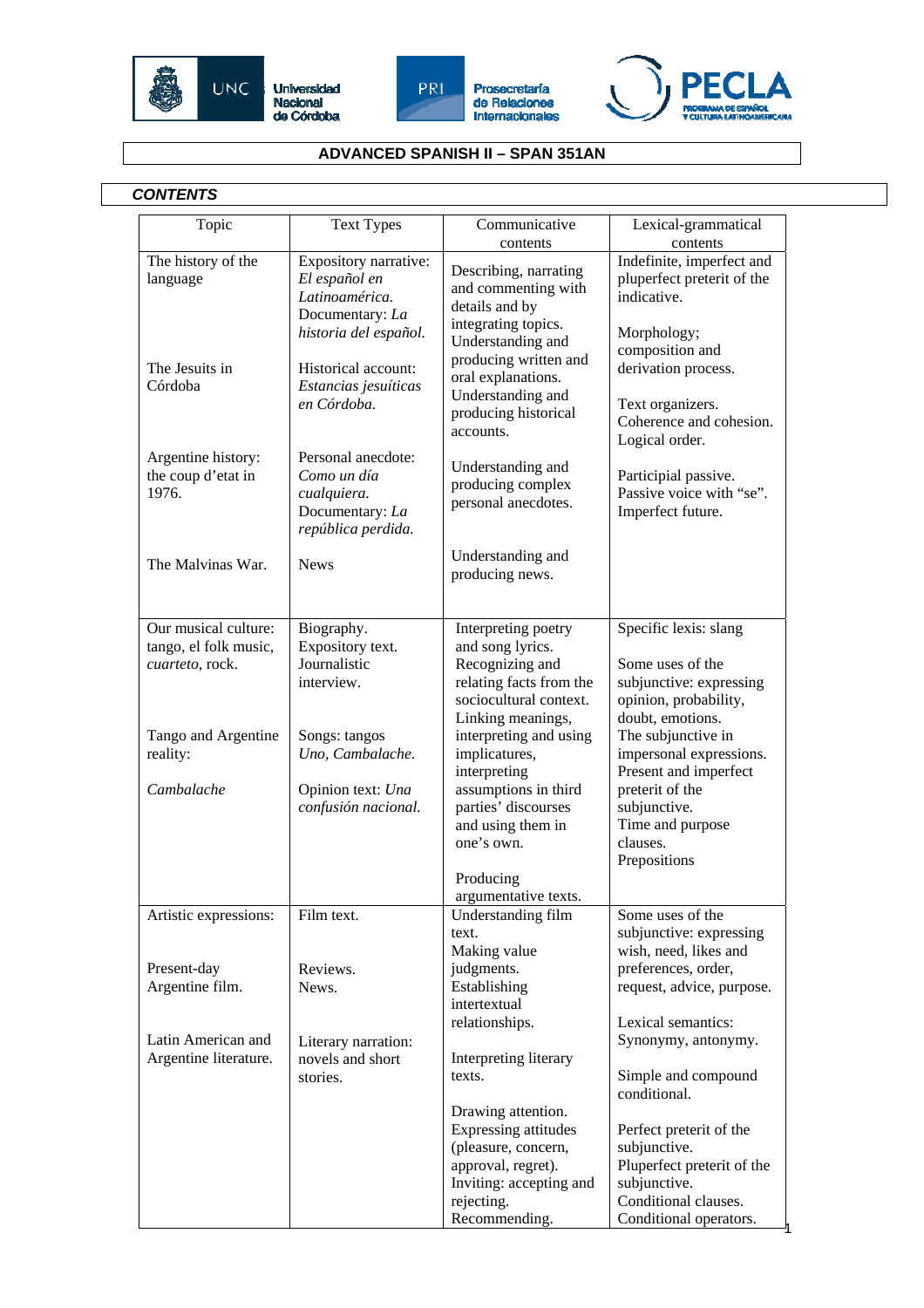







## **ADVANCED SPANISH II – SPAN 351AN**

## *CONTENTS*

| Topic                                             | <b>Text Types</b>                                                                                    | Communicative<br>contents                                                                                     | Lexical-grammatical<br>contents                                                                          |
|---------------------------------------------------|------------------------------------------------------------------------------------------------------|---------------------------------------------------------------------------------------------------------------|----------------------------------------------------------------------------------------------------------|
| The history of the<br>language                    | Expository narrative:<br>El español en<br>Latinoamérica.<br>Documentary: La<br>historia del español. | Describing, narrating<br>and commenting with<br>details and by<br>integrating topics.<br>Understanding and    | Indefinite, imperfect and<br>pluperfect preterit of the<br>indicative.<br>Morphology;<br>composition and |
| The Jesuits in<br>Córdoba                         | Historical account:<br>Estancias jesuíticas<br>en Córdoba.                                           | producing written and<br>oral explanations.<br>Understanding and<br>producing historical<br>accounts.         | derivation process.<br>Text organizers.<br>Coherence and cohesion.<br>Logical order.                     |
| Argentine history:<br>the coup d'etat in<br>1976. | Personal anecdote:<br>Como un día<br>cualquiera.<br>Documentary: La<br>república perdida.            | Understanding and<br>producing complex<br>personal anecdotes.                                                 | Participial passive.<br>Passive voice with "se".<br>Imperfect future.                                    |
| The Malvinas War.                                 | <b>News</b>                                                                                          | Understanding and<br>producing news.                                                                          |                                                                                                          |
| Our musical culture:                              | Biography.                                                                                           | Interpreting poetry                                                                                           | Specific lexis: slang                                                                                    |
| tango, el folk music,<br>cuarteto, rock.          | Expository text.<br>Journalistic<br>interview.                                                       | and song lyrics.<br>Recognizing and<br>relating facts from the<br>sociocultural context.<br>Linking meanings, | Some uses of the<br>subjunctive: expressing<br>opinion, probability,<br>doubt, emotions.                 |
| Tango and Argentine<br>reality:                   | Songs: tangos<br>Uno, Cambalache.                                                                    | interpreting and using<br>implicatures,<br>interpreting                                                       | The subjunctive in<br>impersonal expressions.<br>Present and imperfect                                   |
| Cambalache                                        | Opinion text: Una<br>confusión nacional.                                                             | assumptions in third<br>parties' discourses<br>and using them in<br>one's own.                                | preterit of the<br>subjunctive.<br>Time and purpose<br>clauses.                                          |
|                                                   |                                                                                                      | Producing                                                                                                     | Prepositions                                                                                             |
|                                                   | Film text.                                                                                           | argumentative texts.                                                                                          | Some uses of the                                                                                         |
| Artistic expressions:                             |                                                                                                      | Understanding film<br>text.<br>Making value                                                                   | subjunctive: expressing<br>wish, need, likes and                                                         |
| Present-day                                       | Reviews.                                                                                             | judgments.                                                                                                    | preferences, order,                                                                                      |
| Argentine film.                                   | News.                                                                                                | Establishing<br>intertextual                                                                                  | request, advice, purpose.                                                                                |
|                                                   |                                                                                                      | relationships.                                                                                                | Lexical semantics:                                                                                       |
| Latin American and<br>Argentine literature.       | Literary narration:<br>novels and short                                                              | Interpreting literary                                                                                         | Synonymy, antonymy.                                                                                      |
|                                                   | stories.                                                                                             | texts.                                                                                                        | Simple and compound<br>conditional.                                                                      |
|                                                   |                                                                                                      | Drawing attention.<br>Expressing attitudes                                                                    | Perfect preterit of the                                                                                  |
|                                                   |                                                                                                      | (pleasure, concern,                                                                                           | subjunctive.                                                                                             |
|                                                   |                                                                                                      | approval, regret).<br>Inviting: accepting and                                                                 | Pluperfect preterit of the<br>subjunctive.                                                               |
|                                                   |                                                                                                      | rejecting.                                                                                                    | Conditional clauses.                                                                                     |
|                                                   |                                                                                                      | Recommending.                                                                                                 | Conditional operators.                                                                                   |